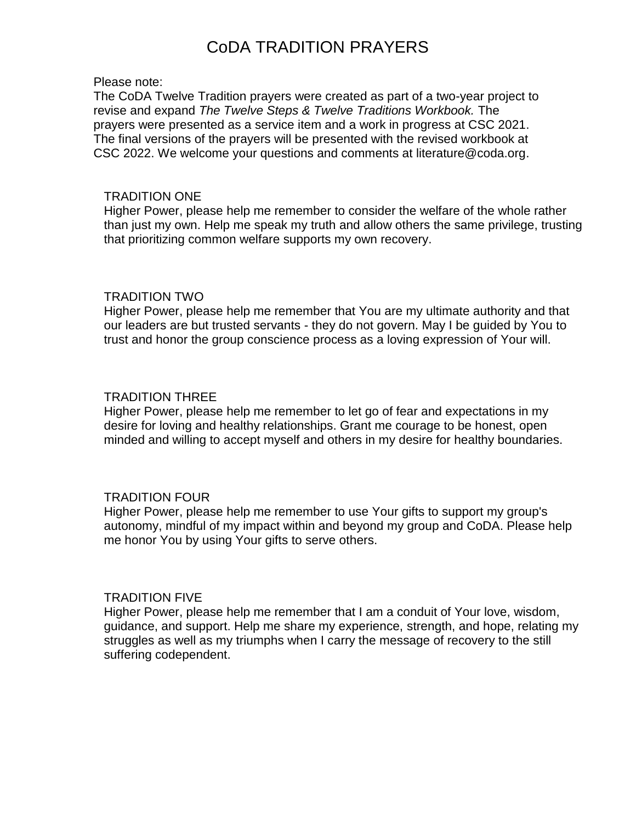# CoDA TRADITION PRAYERS

#### Please note:

The CoDA Twelve Tradition prayers were created as part of a two-year project to revise and expand *The Twelve Steps & Twelve Traditions Workbook.* The prayers were presented as a service item and a work in progress at CSC 2021. The final versions of the prayers will be presented with the revised workbook at CSC 2022. We welcome your questions and comments at literature@coda.org.

#### TRADITION ONE

Higher Power, please help me remember to consider the welfare of the whole rather than just my own. Help me speak my truth and allow others the same privilege, trusting that prioritizing common welfare supports my own recovery.

#### TRADITION TWO

Higher Power, please help me remember that You are my ultimate authority and that our leaders are but trusted servants - they do not govern. May I be guided by You to trust and honor the group conscience process as a loving expression of Your will.

#### TRADITION THREE

Higher Power, please help me remember to let go of fear and expectations in my desire for loving and healthy relationships. Grant me courage to be honest, open minded and willing to accept myself and others in my desire for healthy boundaries.

#### TRADITION FOUR

Higher Power, please help me remember to use Your gifts to support my group's autonomy, mindful of my impact within and beyond my group and CoDA. Please help me honor You by using Your gifts to serve others.

#### TRADITION FIVE

Higher Power, please help me remember that I am a conduit of Your love, wisdom, guidance, and support. Help me share my experience, strength, and hope, relating my struggles as well as my triumphs when I carry the message of recovery to the still suffering codependent.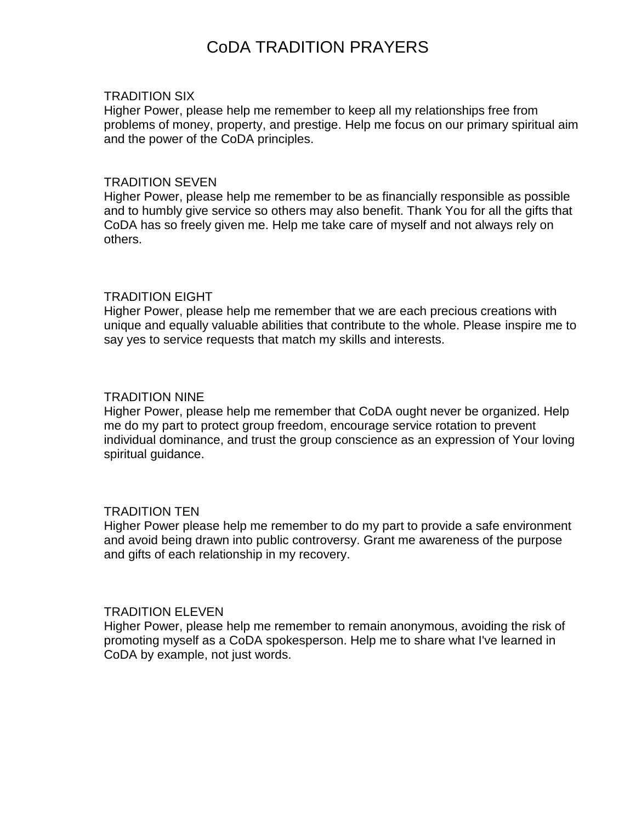## CoDA TRADITION PRAYERS

#### TRADITION SIX

Higher Power, please help me remember to keep all my relationships free from problems of money, property, and prestige. Help me focus on our primary spiritual aim and the power of the CoDA principles.

#### TRADITION SEVEN

Higher Power, please help me remember to be as financially responsible as possible and to humbly give service so others may also benefit. Thank You for all the gifts that CoDA has so freely given me. Help me take care of myself and not always rely on others.

### TRADITION EIGHT

Higher Power, please help me remember that we are each precious creations with unique and equally valuable abilities that contribute to the whole. Please inspire me to say yes to service requests that match my skills and interests.

### TRADITION NINE

Higher Power, please help me remember that CoDA ought never be organized. Help me do my part to protect group freedom, encourage service rotation to prevent individual dominance, and trust the group conscience as an expression of Your loving spiritual guidance.

### TRADITION TEN

Higher Power please help me remember to do my part to provide a safe environment and avoid being drawn into public controversy. Grant me awareness of the purpose and gifts of each relationship in my recovery.

#### TRADITION ELEVEN

Higher Power, please help me remember to remain anonymous, avoiding the risk of promoting myself as a CoDA spokesperson. Help me to share what I've learned in CoDA by example, not just words.